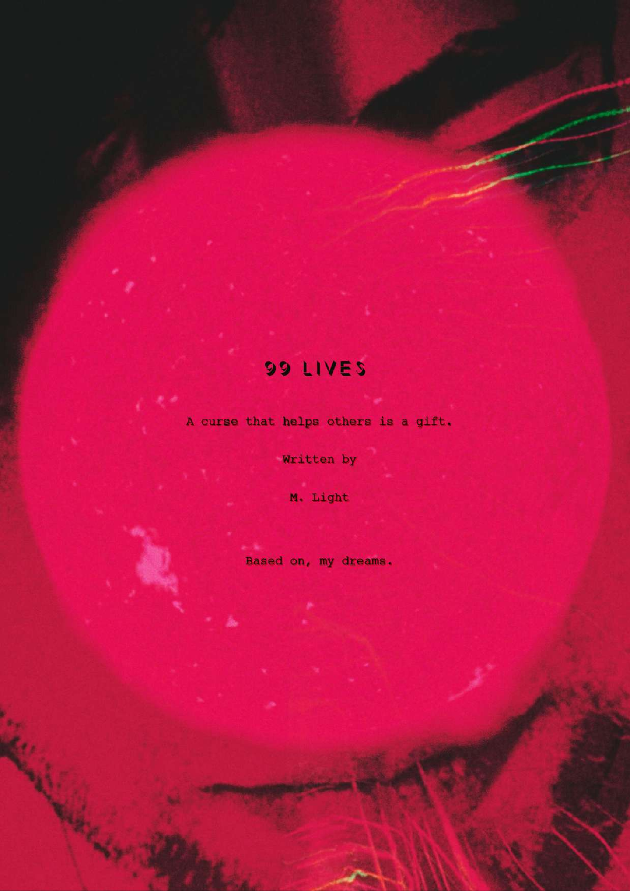# 99 LIVES

A curse that helps others is a gift.

Written by

M. Light

Based on, my dreams.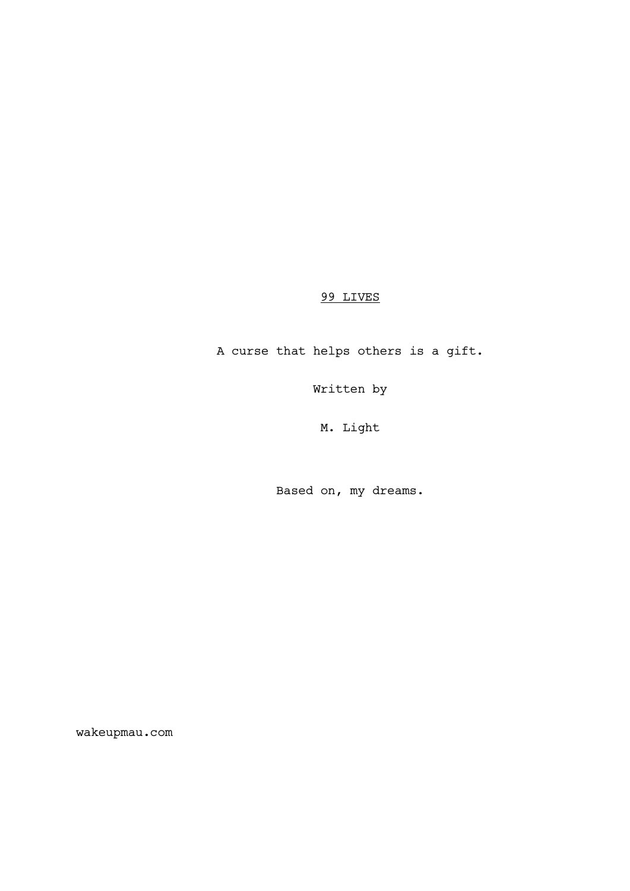# 99 LIVES

A curse that helps others is a gift.

Written by

M. Light

Based on, my dreams.

wakeupmau.com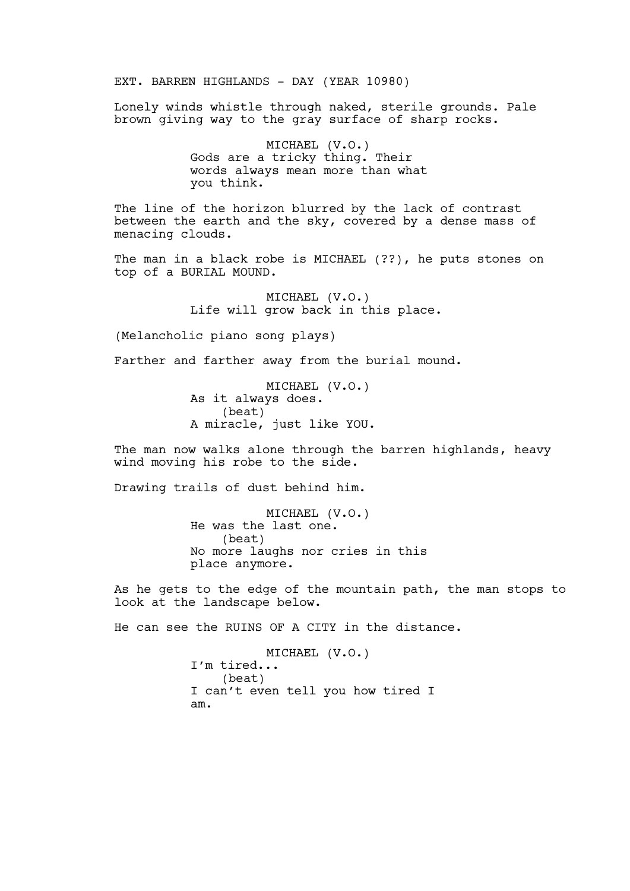EXT. BARREN HIGHLANDS - DAY (YEAR 10980)

Lonely winds whistle through naked, sterile grounds. Pale brown giving way to the gray surface of sharp rocks.

> MICHAEL (V.O.) Gods are a tricky thing. Their words always mean more than what you think.

The line of the horizon blurred by the lack of contrast between the earth and the sky, covered by a dense mass of menacing clouds.

The man in a black robe is MICHAEL (??), he puts stones on top of a BURIAL MOUND.

> MICHAEL (V.O.) Life will grow back in this place.

(Melancholic piano song plays)

Farther and farther away from the burial mound.

MICHAEL (V.O.) As it always does. (beat) A miracle, just like YOU.

The man now walks alone through the barren highlands, heavy wind moving his robe to the side.

Drawing trails of dust behind him.

MICHAEL (V.O.) He was the last one. (beat) No more laughs nor cries in this place anymore.

As he gets to the edge of the mountain path, the man stops to look at the landscape below.

He can see the RUINS OF A CITY in the distance.

MICHAEL (V.O.) I'm tired... (beat) I can't even tell you how tired I am.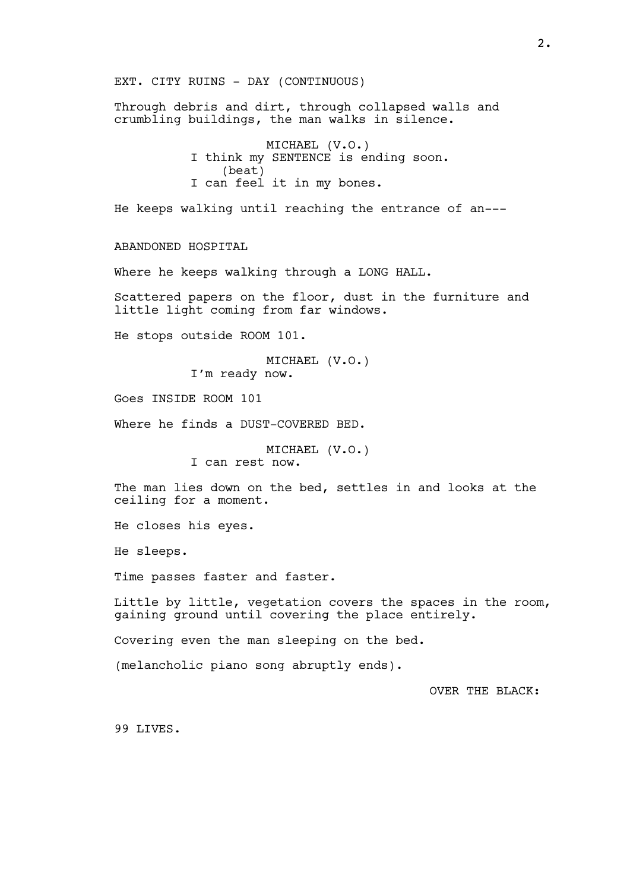EXT. CITY RUINS - DAY (CONTINUOUS) Through debris and dirt, through collapsed walls and crumbling buildings, the man walks in silence. MICHAEL (V.O.) I think my SENTENCE is ending soon. (beat) I can feel it in my bones. He keeps walking until reaching the entrance of an--- ABANDONED HOSPITAL Where he keeps walking through a LONG HALL. Scattered papers on the floor, dust in the furniture and little light coming from far windows. He stops outside ROOM 101. MICHAEL (V.O.) I'm ready now. Goes INSIDE ROOM 101 Where he finds a DUST-COVERED BED. MICHAEL (V.O.) I can rest now. The man lies down on the bed, settles in and looks at the ceiling for a moment. He closes his eyes. He sleeps. Time passes faster and faster. Little by little, vegetation covers the spaces in the room, gaining ground until covering the place entirely. Covering even the man sleeping on the bed. (melancholic piano song abruptly ends). OVER THE BLACK: 99 LIVES.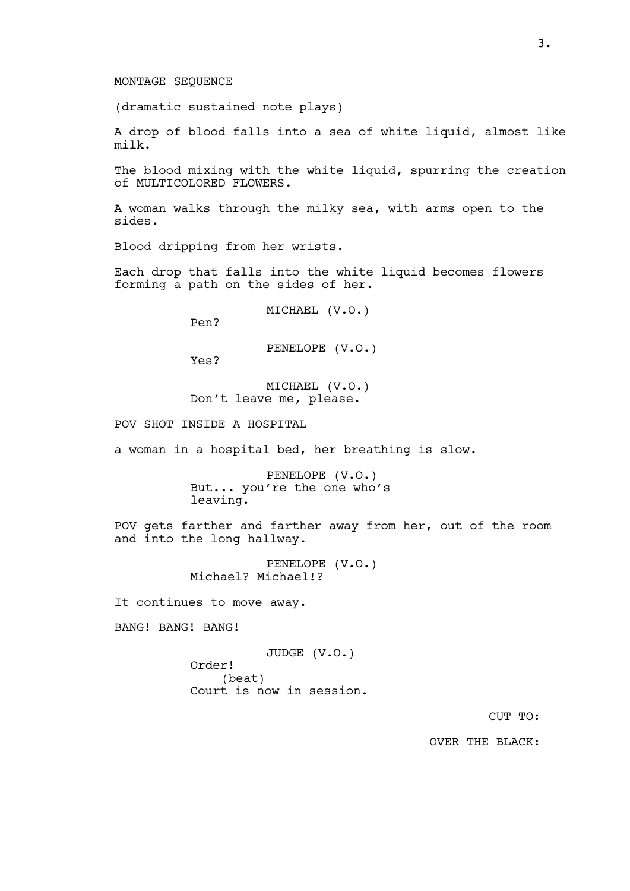### MONTAGE SEQUENCE

(dramatic sustained note plays)

A drop of blood falls into a sea of white liquid, almost like milk.

The blood mixing with the white liquid, spurring the creation of MULTICOLORED FLOWERS.

A woman walks through the milky sea, with arms open to the sides.

Blood dripping from her wrists.

Each drop that falls into the white liquid becomes flowers forming a path on the sides of her.

MICHAEL (V.O.)

Pen?

PENELOPE (V.O.)

Yes?

MICHAEL (V.O.) Don't leave me, please.

POV SHOT INSIDE A HOSPITAL

a woman in a hospital bed, her breathing is slow.

PENELOPE (V.O.) But... you're the one who's leaving.

POV gets farther and farther away from her, out of the room and into the long hallway.

> PENELOPE (V.O.) Michael? Michael!?

It continues to move away.

BANG! BANG! BANG!

JUDGE (V.O.) Order! (beat) Court is now in session.

CUT TO:

OVER THE BLACK: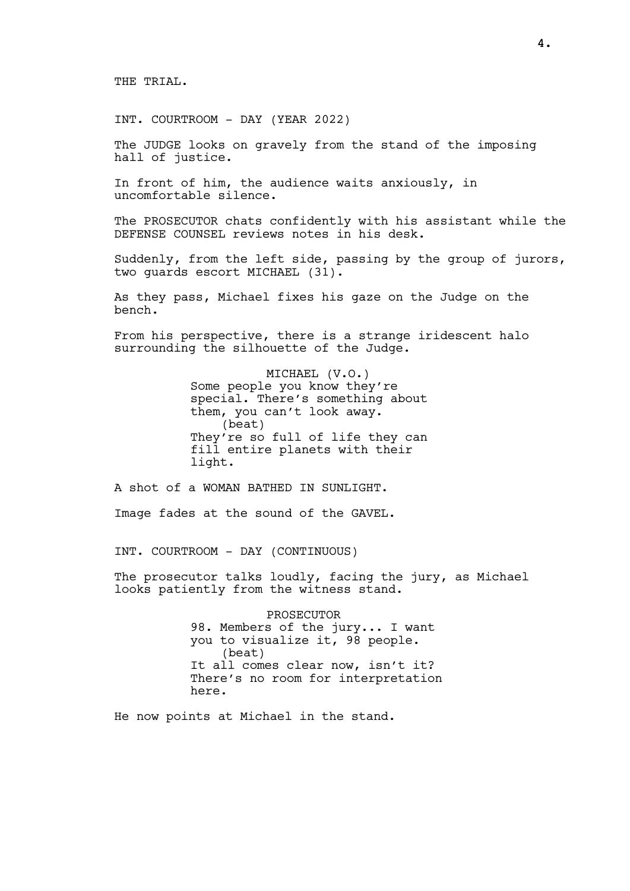THE TRIAL.

INT. COURTROOM - DAY (YEAR 2022)

The JUDGE looks on gravely from the stand of the imposing hall of justice.

In front of him, the audience waits anxiously, in uncomfortable silence.

The PROSECUTOR chats confidently with his assistant while the DEFENSE COUNSEL reviews notes in his desk.

Suddenly, from the left side, passing by the group of jurors, two guards escort MICHAEL (31).

As they pass, Michael fixes his gaze on the Judge on the bench.

From his perspective, there is a strange iridescent halo surrounding the silhouette of the Judge.

> MICHAEL (V.O.) Some people you know they're special. There's something about them, you can't look away. (beat) They're so full of life they can fill entire planets with their light.

A shot of a WOMAN BATHED IN SUNLIGHT.

Image fades at the sound of the GAVEL.

INT. COURTROOM - DAY (CONTINUOUS)

The prosecutor talks loudly, facing the jury, as Michael looks patiently from the witness stand.

> PROSECUTOR 98. Members of the jury... I want you to visualize it, 98 people. (beat) It all comes clear now, isn't it? There's no room for interpretation here.

He now points at Michael in the stand.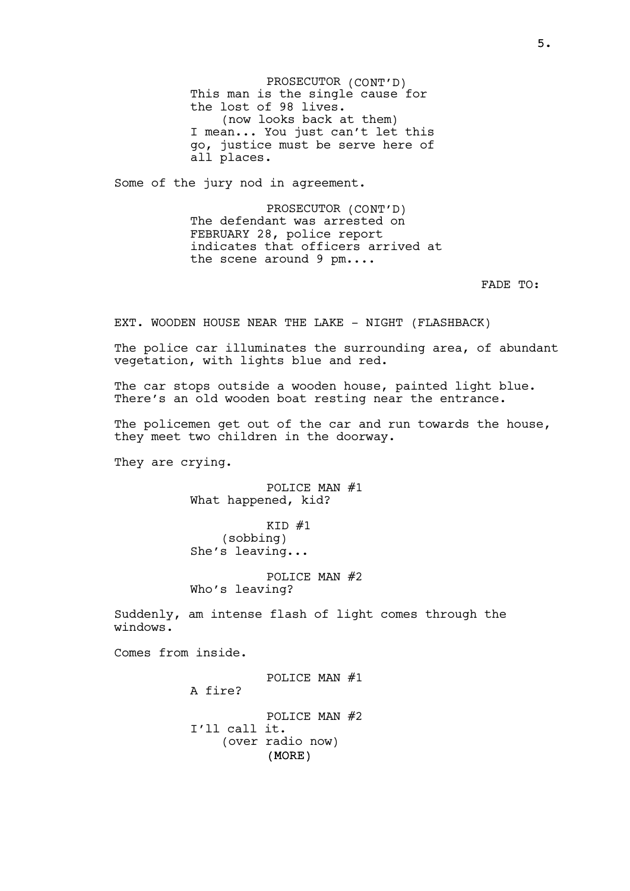PROSECUTOR (CONT'D) This man is the single cause for the lost of 98 lives. (now looks back at them) I mean... You just can't let this go, justice must be serve here of all places.

Some of the jury nod in agreement.

PROSECUTOR (CONT'D) The defendant was arrested on FEBRUARY 28, police report indicates that officers arrived at the scene around 9 pm....

FADE TO:

EXT. WOODEN HOUSE NEAR THE LAKE - NIGHT (FLASHBACK)

The police car illuminates the surrounding area, of abundant vegetation, with lights blue and red.

The car stops outside a wooden house, painted light blue. There's an old wooden boat resting near the entrance.

The policemen get out of the car and run towards the house, they meet two children in the doorway.

They are crying.

POLICE MAN #1 What happened, kid?

 $KID$  #1 (sobbing) She's leaving...

POLICE MAN #2 Who's leaving?

Suddenly, am intense flash of light comes through the windows.

Comes from inside.

(MORE) POLICE MAN #1 A fire? POLICE MAN #2 I'll call it. (over radio now)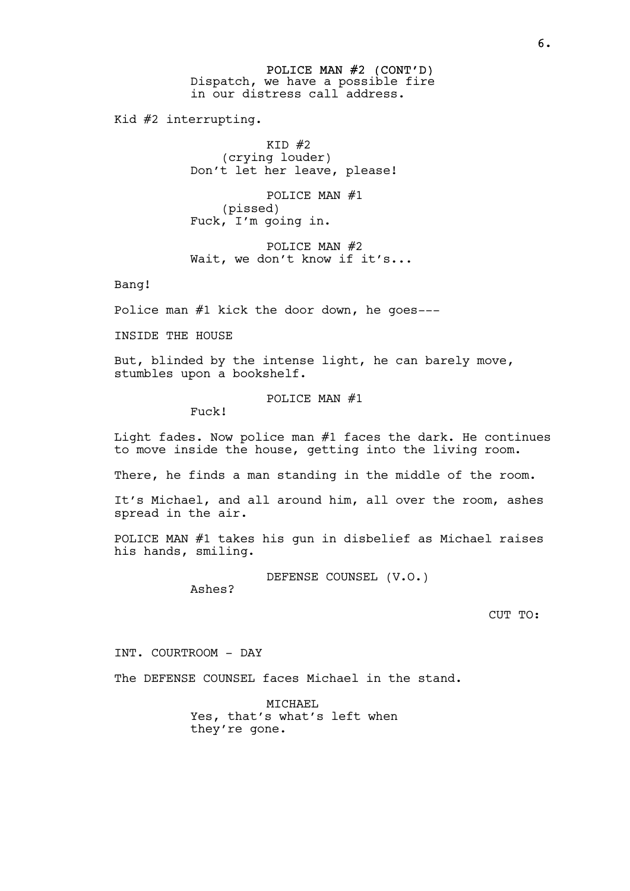POLICE MAN #2 (CONT'D) Dispatch, we have a possible fire in our distress call address.

Kid #2 interrupting.

 $KID$  #2 (crying louder) Don't let her leave, please!

POLICE MAN #1 (pissed) Fuck, I'm going in.

POLICE MAN #2 Wait, we don't know if it's...

Bang!

Police man #1 kick the door down, he goes---

INSIDE THE HOUSE

But, blinded by the intense light, he can barely move, stumbles upon a bookshelf.

POLICE MAN #1

Fuck!

Light fades. Now police man #1 faces the dark. He continues to move inside the house, getting into the living room.

There, he finds a man standing in the middle of the room.

It's Michael, and all around him, all over the room, ashes spread in the air.

POLICE MAN #1 takes his gun in disbelief as Michael raises his hands, smiling.

DEFENSE COUNSEL (V.O.)

Ashes?

CUT TO:

INT. COURTROOM - DAY

The DEFENSE COUNSEL faces Michael in the stand.

MICHAEL Yes, that's what's left when they're gone.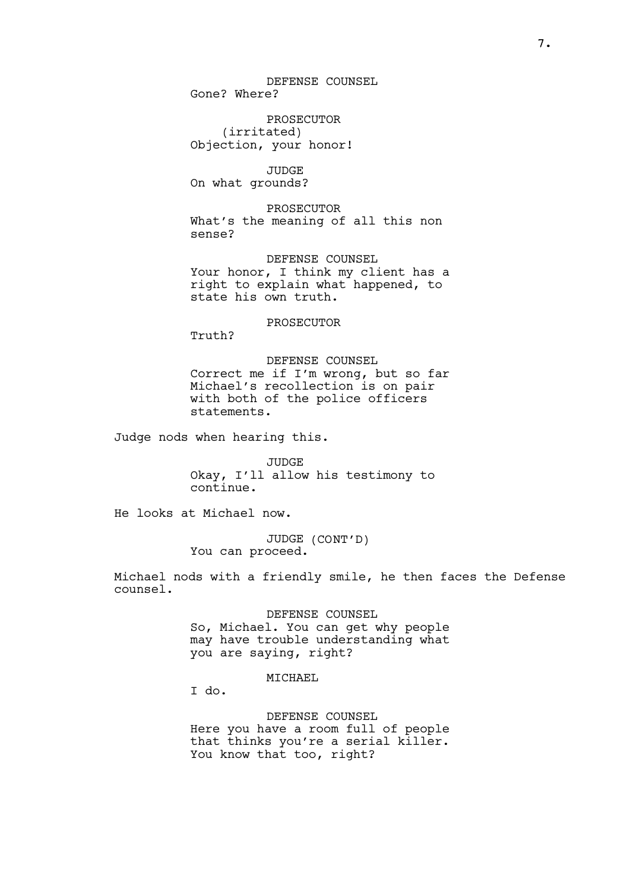DEFENSE COUNSEL Gone? Where?

PROSECUTOR (irritated) Objection, your honor!

JUDGE On what grounds?

PROSECUTOR What's the meaning of all this non sense?

DEFENSE COUNSEL Your honor, I think my client has a right to explain what happened, to state his own truth.

PROSECUTOR

Truth?

DEFENSE COUNSEL Correct me if I'm wrong, but so far Michael's recollection is on pair with both of the police officers statements.

Judge nods when hearing this.

JUDGE Okay, I'll allow his testimony to continue.

He looks at Michael now.

JUDGE (CONT'D) You can proceed.

Michael nods with a friendly smile, he then faces the Defense counsel.

> DEFENSE COUNSEL So, Michael. You can get why people may have trouble understanding what you are saying, right?

> > MICHAEL

I do.

DEFENSE COUNSEL Here you have a room full of people that thinks you're a serial killer. You know that too, right?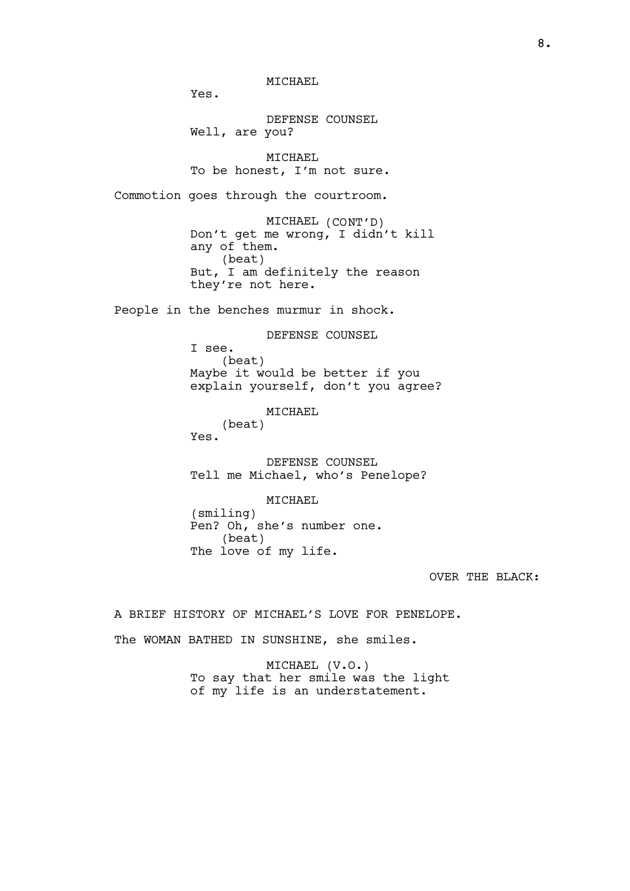MTCHAEL

Yes.

DEFENSE COUNSEL Well, are you?

MICHAEL To be honest, I'm not sure.

Commotion goes through the courtroom.

MICHAEL (CONT'D) Don't get me wrong, I didn't kill any of them. (beat) But, I am definitely the reason they're not here.

People in the benches murmur in shock.

DEFENSE COUNSEL I see. (beat) Maybe it would be better if you explain yourself, don't you agree?

MICHAEL

(beat) Yes.

DEFENSE COUNSEL Tell me Michael, who's Penelope?

MTCHAEL (smiling) Pen? Oh, she's number one. (beat) The love of my life.

OVER THE BLACK:

A BRIEF HISTORY OF MICHAEL'S LOVE FOR PENELOPE.

The WOMAN BATHED IN SUNSHINE, she smiles.

MICHAEL (V.O.) To say that her smile was the light of my life is an understatement.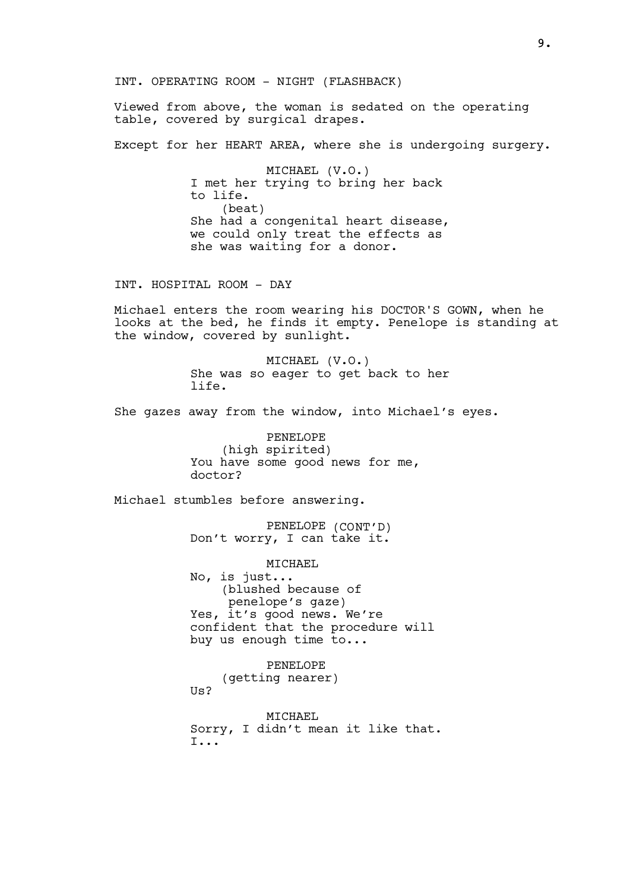INT. OPERATING ROOM - NIGHT (FLASHBACK)

Viewed from above, the woman is sedated on the operating table, covered by surgical drapes.

Except for her HEART AREA, where she is undergoing surgery.

MICHAEL (V.O.) I met her trying to bring her back to life. (beat) She had a congenital heart disease, we could only treat the effects as she was waiting for a donor.

INT. HOSPITAL ROOM - DAY

Michael enters the room wearing his DOCTOR'S GOWN, when he looks at the bed, he finds it empty. Penelope is standing at the window, covered by sunlight.

> MICHAEL (V.O.) She was so eager to get back to her life.

She gazes away from the window, into Michael's eyes.

PENELOPE (high spirited) You have some good news for me, doctor?

Michael stumbles before answering.

PENELOPE (CONT'D) Don't worry, I can take it.

MICHAEL No, is just... (blushed because of penelope's gaze) Yes, it's good news. We're confident that the procedure will buy us enough time to...

PENELOPE (getting nearer)  $U<sub>S</sub>$ 

MTCHAEL Sorry, I didn't mean it like that. I...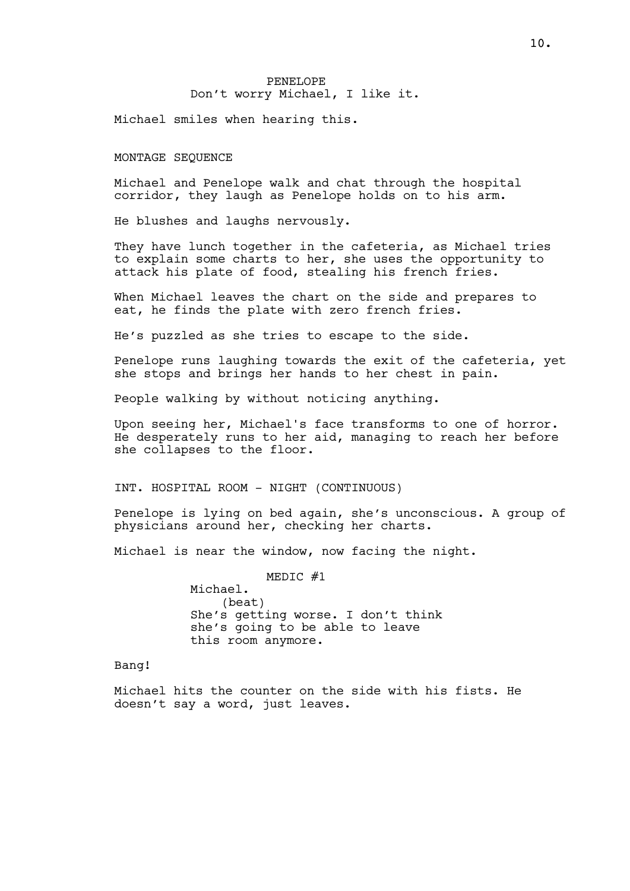# PENELOPE Don't worry Michael, I like it.

Michael smiles when hearing this.

MONTAGE SEQUENCE

Michael and Penelope walk and chat through the hospital corridor, they laugh as Penelope holds on to his arm.

He blushes and laughs nervously.

They have lunch together in the cafeteria, as Michael tries to explain some charts to her, she uses the opportunity to attack his plate of food, stealing his french fries.

When Michael leaves the chart on the side and prepares to eat, he finds the plate with zero french fries.

He's puzzled as she tries to escape to the side.

Penelope runs laughing towards the exit of the cafeteria, yet she stops and brings her hands to her chest in pain.

People walking by without noticing anything.

Upon seeing her, Michael's face transforms to one of horror. He desperately runs to her aid, managing to reach her before she collapses to the floor.

INT. HOSPITAL ROOM - NIGHT (CONTINUOUS)

Penelope is lying on bed again, she's unconscious. A group of physicians around her, checking her charts.

Michael is near the window, now facing the night.

MEDIC #1 Michael. (beat) She's getting worse. I don't think she's going to be able to leave this room anymore.

Bang!

Michael hits the counter on the side with his fists. He doesn't say a word, just leaves.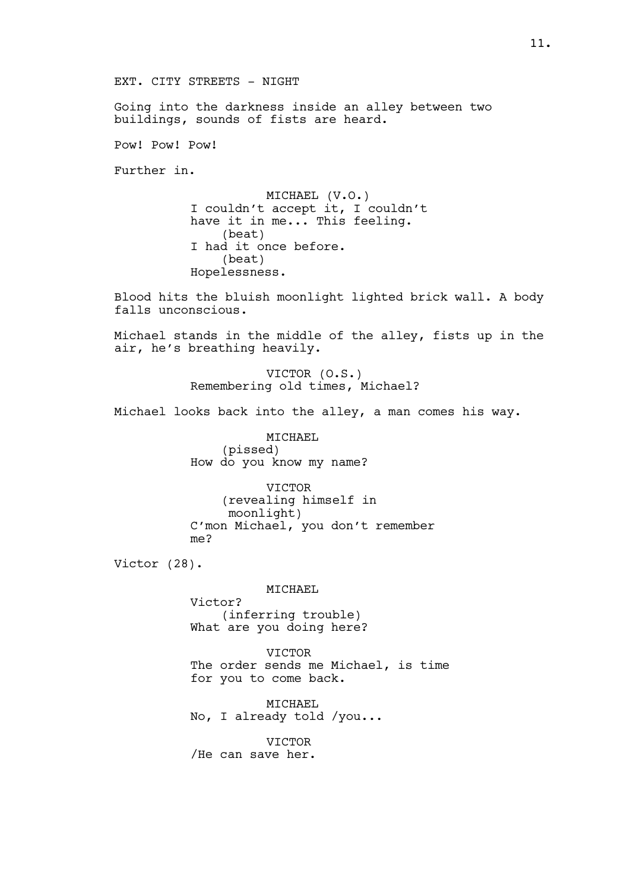EXT. CITY STREETS - NIGHT

Going into the darkness inside an alley between two buildings, sounds of fists are heard.

Pow! Pow! Pow!

Further in.

MICHAEL (V.O.) I couldn't accept it, I couldn't have it in me... This feeling. (beat) I had it once before. (beat) Hopelessness.

Blood hits the bluish moonlight lighted brick wall. A body falls unconscious.

Michael stands in the middle of the alley, fists up in the air, he's breathing heavily.

> VICTOR (O.S.) Remembering old times, Michael?

Michael looks back into the alley, a man comes his way.

MICHAEL (pissed) How do you know my name?

VICTOR (revealing himself in moonlight) C'mon Michael, you don't remember me?

Victor (28).

MICHAEL Victor? (inferring trouble) What are you doing here?

VICTOR The order sends me Michael, is time for you to come back.

MICHAEL No, I already told /you...

VICTOR /He can save her.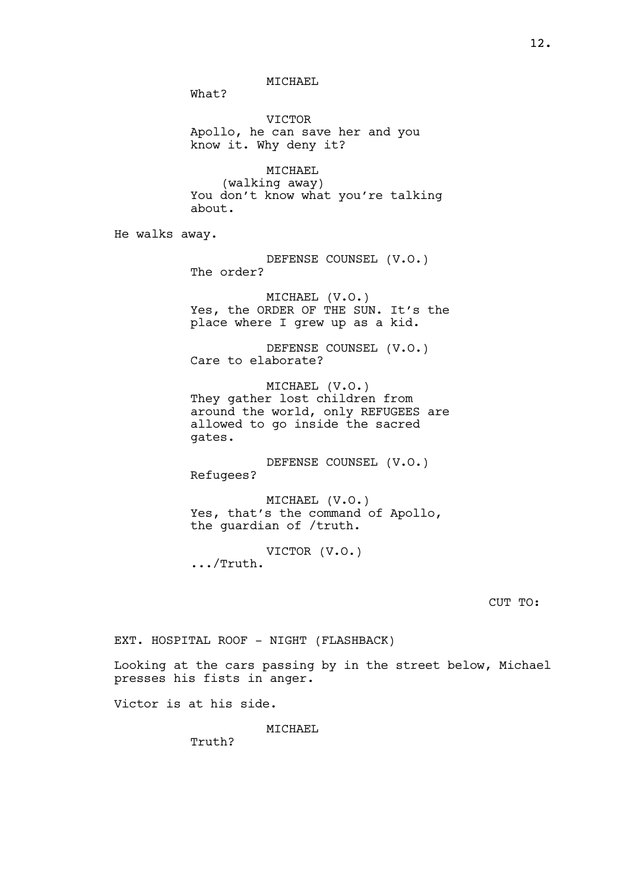MTCHAEL

What?

VICTOR Apollo, he can save her and you know it. Why deny it?

MICHAEL (walking away) You don't know what you're talking about.

He walks away.

DEFENSE COUNSEL (V.O.) The order?

MICHAEL (V.O.) Yes, the ORDER OF THE SUN. It's the place where I grew up as a kid.

DEFENSE COUNSEL (V.O.) Care to elaborate?

MICHAEL (V.O.) They gather lost children from around the world, only REFUGEES are allowed to go inside the sacred gates.

DEFENSE COUNSEL (V.O.) Refugees?

MICHAEL (V.O.) Yes, that's the command of Apollo, the guardian of /truth.

VICTOR (V.O.) .../Truth.

CUT TO:

EXT. HOSPITAL ROOF - NIGHT (FLASHBACK)

Looking at the cars passing by in the street below, Michael presses his fists in anger.

Victor is at his side.

MICHAEL

Truth?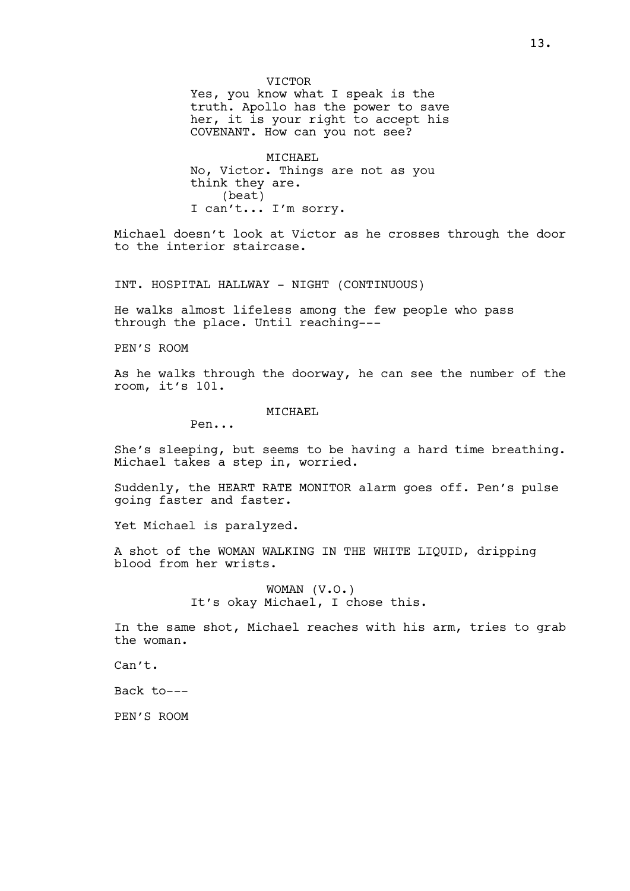VICTOR Yes, you know what I speak is the truth. Apollo has the power to save her, it is your right to accept his COVENANT. How can you not see?

MICHAEL No, Victor. Things are not as you think they are. (beat) I can't... I'm sorry.

Michael doesn't look at Victor as he crosses through the door to the interior staircase.

INT. HOSPITAL HALLWAY - NIGHT (CONTINUOUS)

He walks almost lifeless among the few people who pass through the place. Until reaching---

PEN'S ROOM

As he walks through the doorway, he can see the number of the room, it's 101.

MICHAEL

Pen...

She's sleeping, but seems to be having a hard time breathing. Michael takes a step in, worried.

Suddenly, the HEART RATE MONITOR alarm goes off. Pen's pulse going faster and faster.

Yet Michael is paralyzed.

A shot of the WOMAN WALKING IN THE WHITE LIQUID, dripping blood from her wrists.

> WOMAN (V.O.) It's okay Michael, I chose this.

In the same shot, Michael reaches with his arm, tries to grab the woman.

Can't.

Back to---

PEN'S ROOM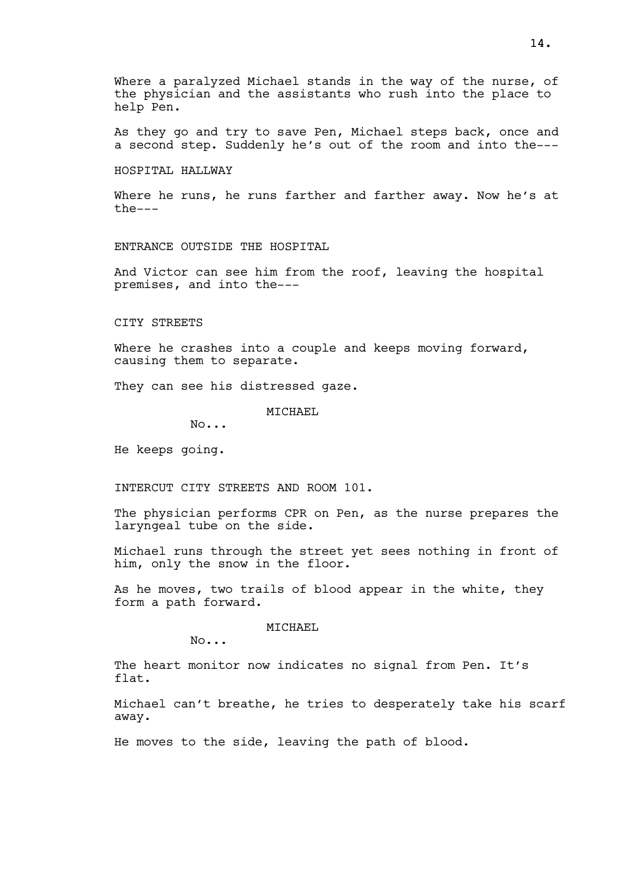Where a paralyzed Michael stands in the way of the nurse, of the physician and the assistants who rush into the place to help Pen.

As they go and try to save Pen, Michael steps back, once and a second step. Suddenly he's out of the room and into the---

HOSPITAL HALLWAY

Where he runs, he runs farther and farther away. Now he's at the---

ENTRANCE OUTSIDE THE HOSPITAL

And Victor can see him from the roof, leaving the hospital premises, and into the---

CITY STREETS

Where he crashes into a couple and keeps moving forward, causing them to separate.

They can see his distressed gaze.

MICHAEL

No...

He keeps going.

INTERCUT CITY STREETS AND ROOM 101.

The physician performs CPR on Pen, as the nurse prepares the laryngeal tube on the side.

Michael runs through the street yet sees nothing in front of him, only the snow in the floor.

As he moves, two trails of blood appear in the white, they form a path forward.

MICHAEL

No...

The heart monitor now indicates no signal from Pen. It's flat.

Michael can't breathe, he tries to desperately take his scarf away.

He moves to the side, leaving the path of blood.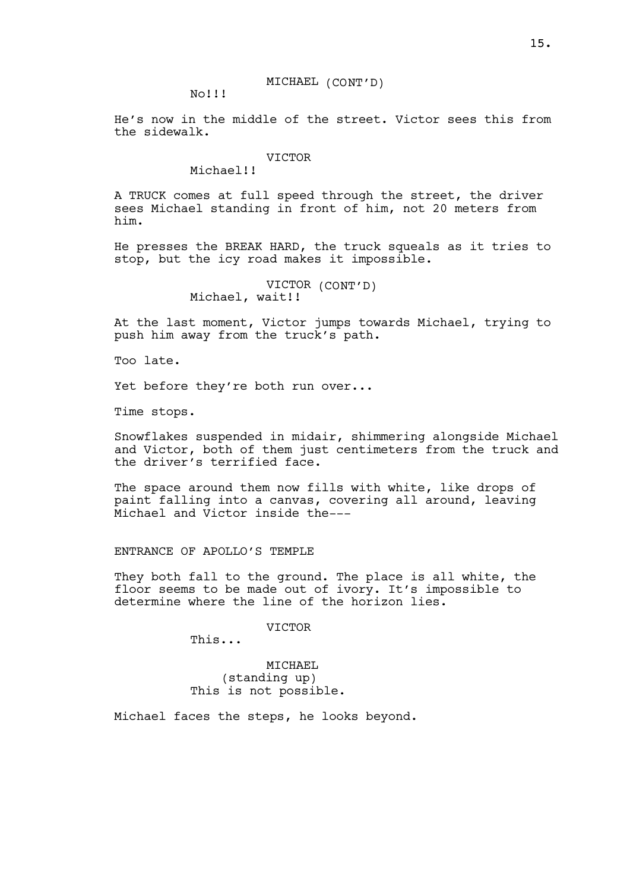No!!!

He's now in the middle of the street. Victor sees this from the sidewalk.

#### **VICTOR**

Michael!!

A TRUCK comes at full speed through the street, the driver sees Michael standing in front of him, not 20 meters from him.

He presses the BREAK HARD, the truck squeals as it tries to stop, but the icy road makes it impossible.

> VICTOR (CONT'D) Michael, wait!!

At the last moment, Victor jumps towards Michael, trying to push him away from the truck's path.

Too late.

Yet before they're both run over...

Time stops.

Snowflakes suspended in midair, shimmering alongside Michael and Victor, both of them just centimeters from the truck and the driver's terrified face.

The space around them now fills with white, like drops of paint falling into a canvas, covering all around, leaving Michael and Victor inside the---

ENTRANCE OF APOLLO'S TEMPLE

They both fall to the ground. The place is all white, the floor seems to be made out of ivory. It's impossible to determine where the line of the horizon lies.

**VICTOR** 

This...

MICHAEL (standing up) This is not possible.

Michael faces the steps, he looks beyond.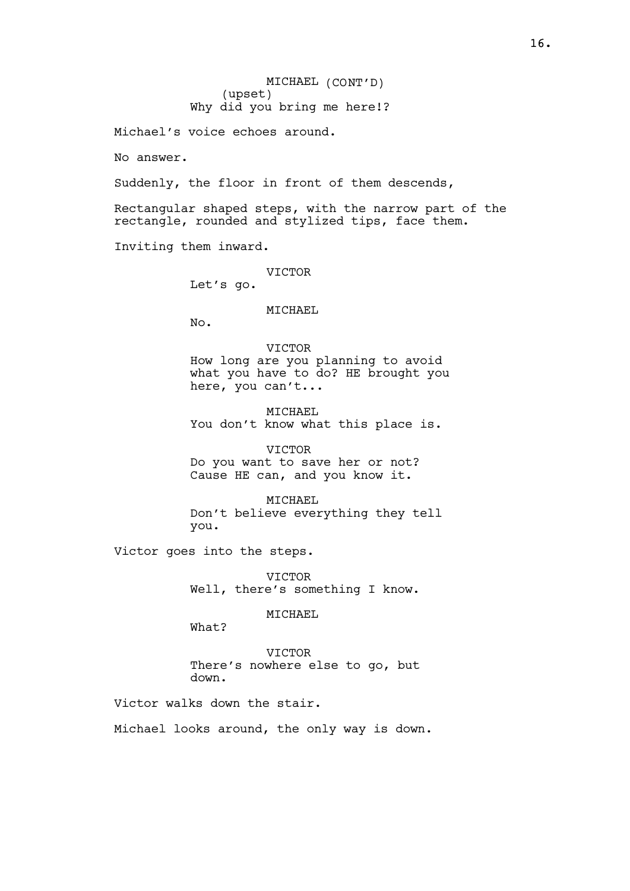MICHAEL (CONT'D) (upset) Why did you bring me here!?

Michael's voice echoes around.

No answer.

Suddenly, the floor in front of them descends,

Rectangular shaped steps, with the narrow part of the rectangle, rounded and stylized tips, face them.

Inviting them inward.

VICTOR

Let's go.

# MICHAEL

No.

**VICTOR** How long are you planning to avoid what you have to do? HE brought you here, you can't...

MICHAEL You don't know what this place is.

**VICTOR** Do you want to save her or not? Cause HE can, and you know it.

MTCHAEL Don't believe everything they tell you.

Victor goes into the steps.

**VICTOR** Well, there's something I know.

MICHAEL

What?

VICTOR There's nowhere else to go, but down.

Victor walks down the stair.

Michael looks around, the only way is down.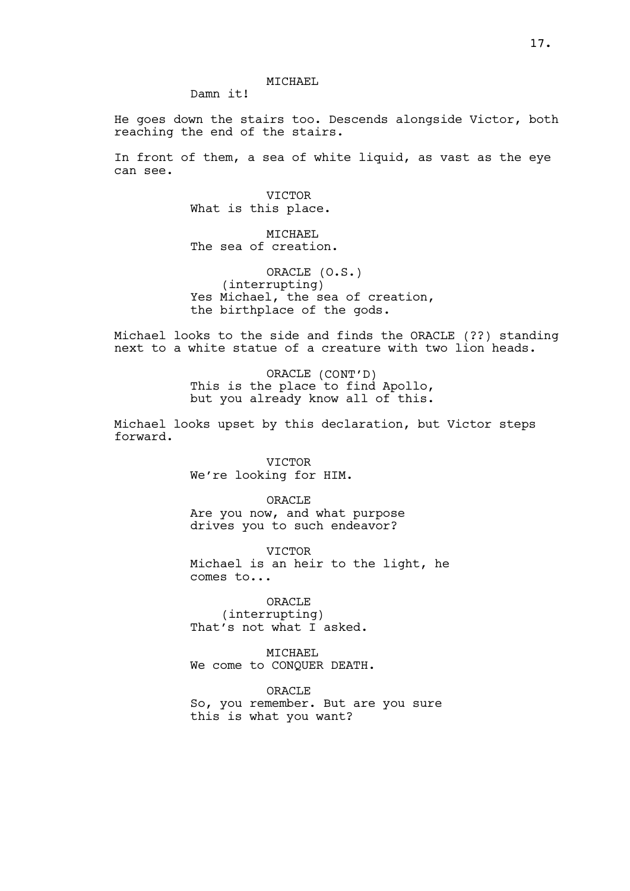MTCHAEL

Damn it!

He goes down the stairs too. Descends alongside Victor, both reaching the end of the stairs.

In front of them, a sea of white liquid, as vast as the eye can see.

> **VICTOR** What is this place.

MICHAEL The sea of creation.

ORACLE (O.S.) (interrupting) Yes Michael, the sea of creation, the birthplace of the gods.

Michael looks to the side and finds the ORACLE (??) standing next to a white statue of a creature with two lion heads.

> ORACLE (CONT'D) This is the place to find Apollo, but you already know all of this.

Michael looks upset by this declaration, but Victor steps forward.

> VICTOR We're looking for HIM.

> > ORACLE

Are you now, and what purpose drives you to such endeavor?

**VICTOR** Michael is an heir to the light, he comes to...

ORACLE (interrupting) That's not what I asked.

MICHAEL We come to CONQUER DEATH.

**ORACLE** So, you remember. But are you sure this is what you want?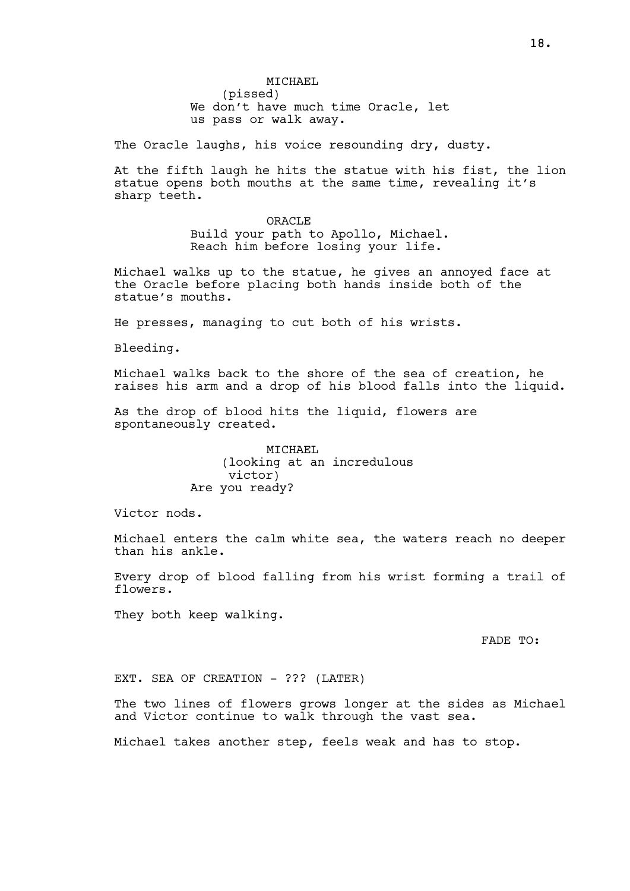MTCHAEL (pissed) We don't have much time Oracle, let us pass or walk away.

The Oracle laughs, his voice resounding dry, dusty.

At the fifth laugh he hits the statue with his fist, the lion statue opens both mouths at the same time, revealing it's sharp teeth.

> **ORACLE** Build your path to Apollo, Michael. Reach him before losing your life.

Michael walks up to the statue, he gives an annoyed face at the Oracle before placing both hands inside both of the statue's mouths.

He presses, managing to cut both of his wrists.

Bleeding.

Michael walks back to the shore of the sea of creation, he raises his arm and a drop of his blood falls into the liquid.

As the drop of blood hits the liquid, flowers are spontaneously created.

> MICHAEL (looking at an incredulous victor) Are you ready?

Victor nods.

Michael enters the calm white sea, the waters reach no deeper than his ankle.

Every drop of blood falling from his wrist forming a trail of flowers.

They both keep walking.

FADE TO:

EXT. SEA OF CREATION - ??? (LATER)

The two lines of flowers grows longer at the sides as Michael and Victor continue to walk through the vast sea.

Michael takes another step, feels weak and has to stop.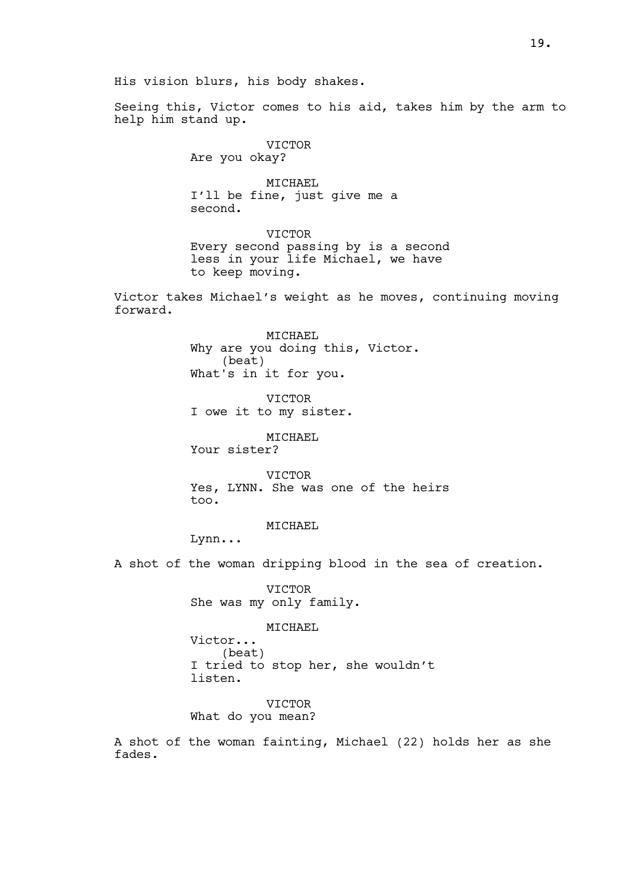His vision blurs, his body shakes.

Seeing this, Victor comes to his aid, takes him by the arm to help him stand up.

VICTOR

Are you okay?

MICHAEL I'll be fine, just give me a second.

VICTOR Every second passing by is a second less in your life Michael, we have to keep moving.

Victor takes Michael's weight as he moves, continuing moving forward.

> MICHAEL Why are you doing this, Victor. (beat) What's in it for you.

VICTOR I owe it to my sister.

MICHAEL Your sister?

VICTOR Yes, LYNN. She was one of the heirs too.

MICHAEL

Lynn...

A shot of the woman dripping blood in the sea of creation.

VICTOR She was my only family.

MICHAEL

Victor... (beat) I tried to stop her, she wouldn't listen.

VICTOR What do you mean?

A shot of the woman fainting, Michael (22) holds her as she fades.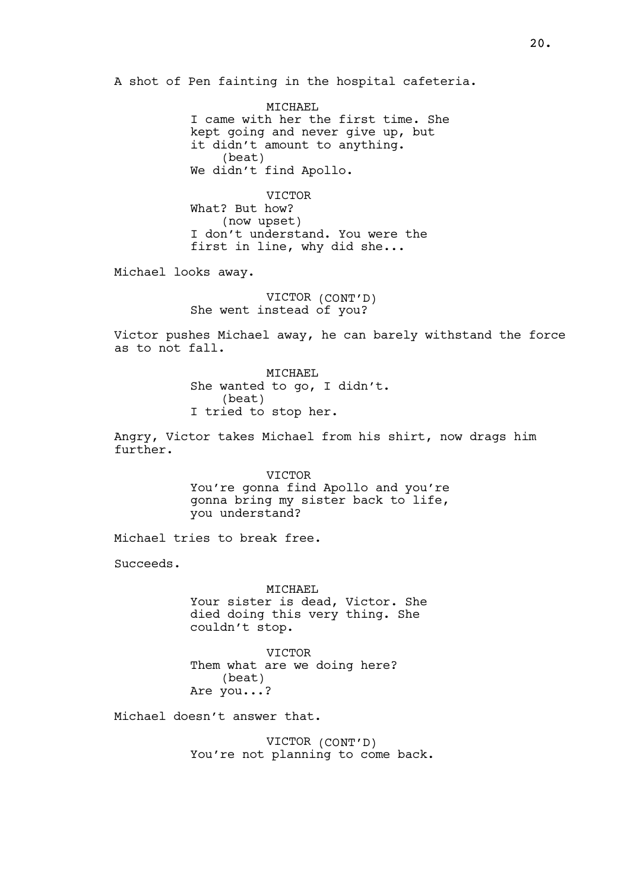A shot of Pen fainting in the hospital cafeteria.

MTCHAEL I came with her the first time. She kept going and never give up, but it didn't amount to anything. (beat) We didn't find Apollo.

**VICTOR** What? But how? (now upset) I don't understand. You were the first in line, why did she...

Michael looks away.

VICTOR (CONT'D) She went instead of you?

Victor pushes Michael away, he can barely withstand the force as to not fall.

> MICHAEL She wanted to go, I didn't. (beat) I tried to stop her.

Angry, Victor takes Michael from his shirt, now drags him further.

> VICTOR You're gonna find Apollo and you're gonna bring my sister back to life, you understand?

Michael tries to break free.

Succeeds.

MICHAEL Your sister is dead, Victor. She died doing this very thing. She couldn't stop.

VICTOR Them what are we doing here? (beat) Are you...?

Michael doesn't answer that.

VICTOR (CONT'D) You're not planning to come back.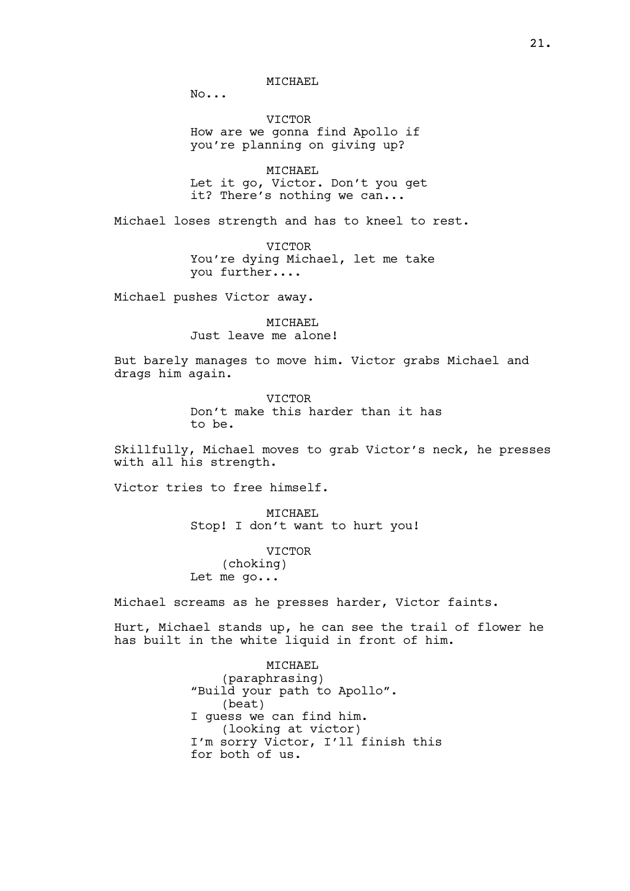MTCHAEL

No...

VICTOR How are we gonna find Apollo if you're planning on giving up?

MICHAEL Let it go, Victor. Don't you get it? There's nothing we can...

Michael loses strength and has to kneel to rest.

**VICTOR** You're dying Michael, let me take you further....

Michael pushes Victor away.

MICHAEL Just leave me alone!

But barely manages to move him. Victor grabs Michael and drags him again.

> VICTOR Don't make this harder than it has to be.

Skillfully, Michael moves to grab Victor's neck, he presses with all his strength.

Victor tries to free himself.

MICHAEL Stop! I don't want to hurt you!

VICTOR (choking) Let me go...

Michael screams as he presses harder, Victor faints.

Hurt, Michael stands up, he can see the trail of flower he has built in the white liquid in front of him.

> MICHAEL (paraphrasing) "Build your path to Apollo". (beat) I guess we can find him. (looking at victor) I'm sorry Victor, I'll finish this for both of us.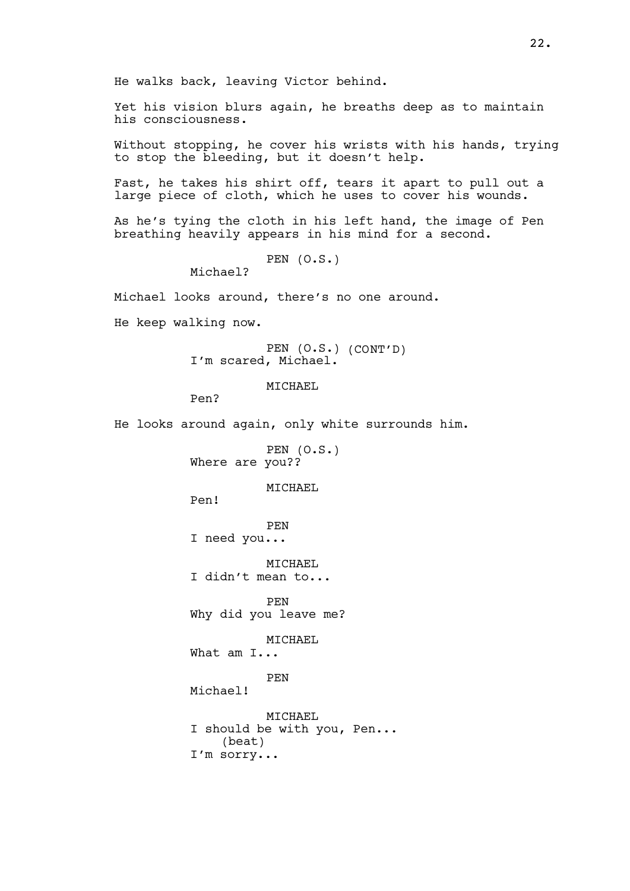He walks back, leaving Victor behind.

Yet his vision blurs again, he breaths deep as to maintain his consciousness.

Without stopping, he cover his wrists with his hands, trying to stop the bleeding, but it doesn't help.

Fast, he takes his shirt off, tears it apart to pull out a large piece of cloth, which he uses to cover his wounds.

As he's tying the cloth in his left hand, the image of Pen breathing heavily appears in his mind for a second.

PEN (O.S.)

Michael?

Michael looks around, there's no one around.

He keep walking now.

PEN (O.S.) (CONT'D) I'm scared, Michael.

MTCHAEL

Pen?

He looks around again, only white surrounds him.

PEN (O.S.) Where are you??

MTCHAEL

Pen!

PEN I need you...

MTCHAEL I didn't mean to...

PEN Why did you leave me?

MTCHAEL

What am I...

PEN

Michael!

MTCHAEL I should be with you, Pen... (beat) I'm sorry...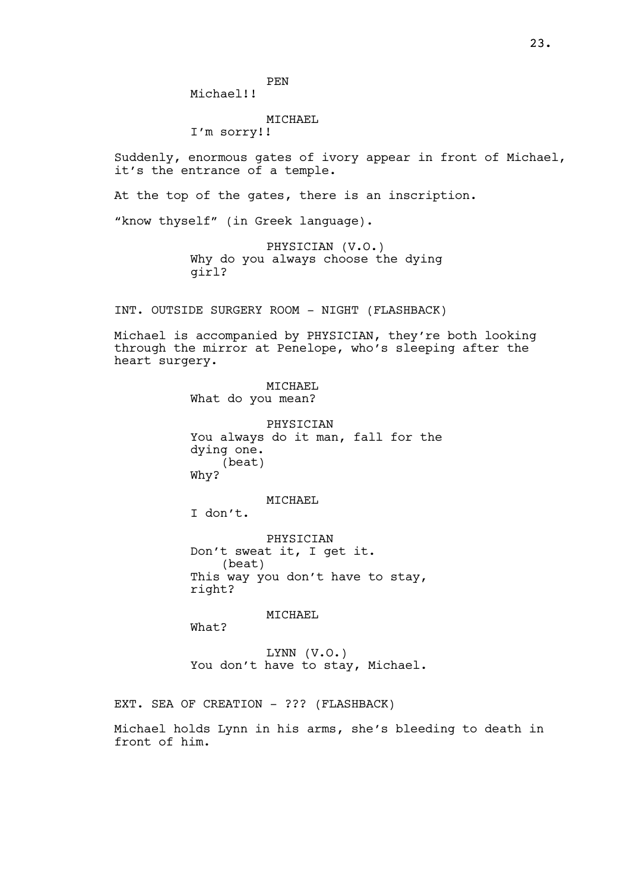PEN

Michael!!

#### MICHAEL

I'm sorry!!

Suddenly, enormous gates of ivory appear in front of Michael, it's the entrance of a temple.

At the top of the gates, there is an inscription.

"know thyself" (in Greek language).

PHYSICIAN (V.O.) Why do you always choose the dying girl?

INT. OUTSIDE SURGERY ROOM - NIGHT (FLASHBACK)

Michael is accompanied by PHYSICIAN, they're both looking through the mirror at Penelope, who's sleeping after the heart surgery.

> MICHAEL What do you mean?

PHYSICIAN You always do it man, fall for the dying one. (beat) Why?

MICHAEL

I don't.

PHYSICIAN Don't sweat it, I get it. (beat) This way you don't have to stay, right?

MICHAEL

What?

LYNN (V.O.) You don't have to stay, Michael.

EXT. SEA OF CREATION - ??? (FLASHBACK)

Michael holds Lynn in his arms, she's bleeding to death in front of him.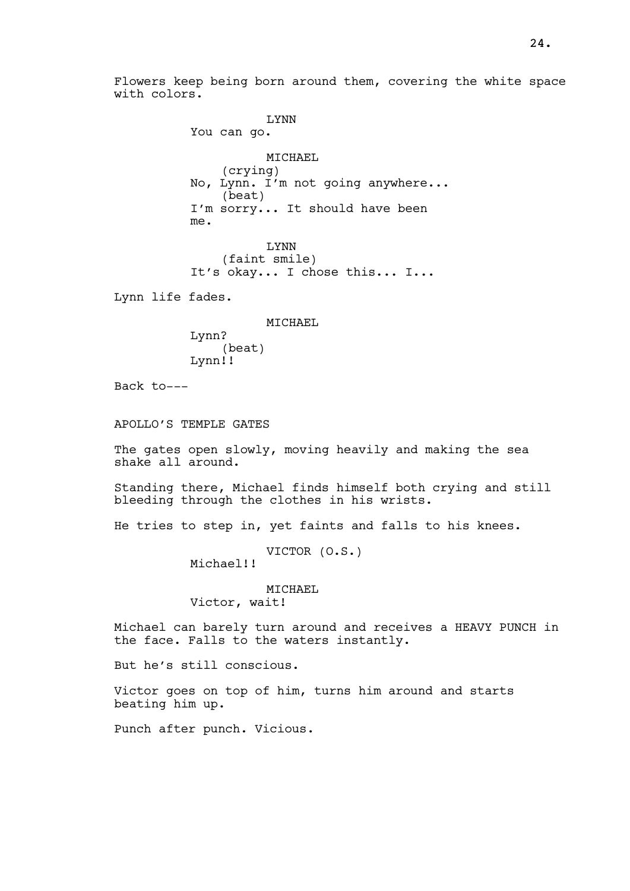Flowers keep being born around them, covering the white space with colors.

LYNN You can go. MICHAEL (crying) No, Lynn. I'm not going anywhere... (beat) I'm sorry... It should have been me. LYNN (faint smile) It's okay... I chose this... I... Lynn life fades. MICHAEL

> Lynn? (beat) Lynn!!

Back to---

APOLLO'S TEMPLE GATES

The gates open slowly, moving heavily and making the sea shake all around.

Standing there, Michael finds himself both crying and still bleeding through the clothes in his wrists.

He tries to step in, yet faints and falls to his knees.

VICTOR (O.S.)

Michael!!

MICHAEL

Victor, wait!

Michael can barely turn around and receives a HEAVY PUNCH in the face. Falls to the waters instantly.

But he's still conscious.

Victor goes on top of him, turns him around and starts beating him up.

Punch after punch. Vicious.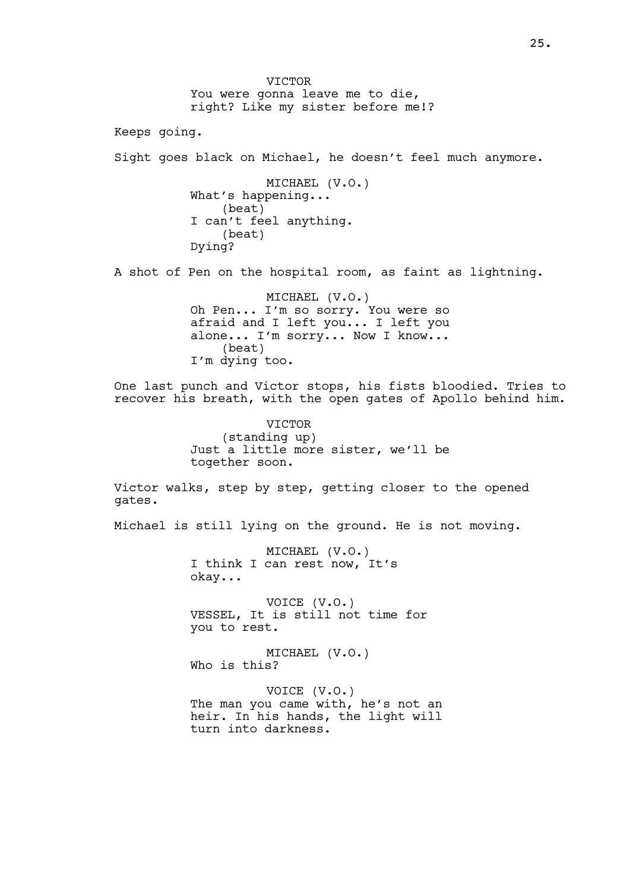VICTOR You were gonna leave me to die, right? Like my sister before me!? Keeps going. Sight goes black on Michael, he doesn't feel much anymore. MICHAEL (V.O.) What's happening... (beat) I can't feel anything. (beat) Dying? A shot of Pen on the hospital room, as faint as lightning. MICHAEL (V.O.) Oh Pen... I'm so sorry. You were so afraid and I left you... I left you alone... I'm sorry... Now I know... (beat) I'm dying too. One last punch and Victor stops, his fists bloodied. Tries to recover his breath, with the open gates of Apollo behind him. VICTOR (standing up) Just a little more sister, we'll be together soon. Victor walks, step by step, getting closer to the opened gates. Michael is still lying on the ground. He is not moving. MICHAEL (V.O.) I think I can rest now, It's okay... VOICE (V.O.) VESSEL, It is still not time for you to rest. MICHAEL (V.O.) Who is this? VOICE (V.O.) The man you came with, he's not an heir. In his hands, the light will turn into darkness.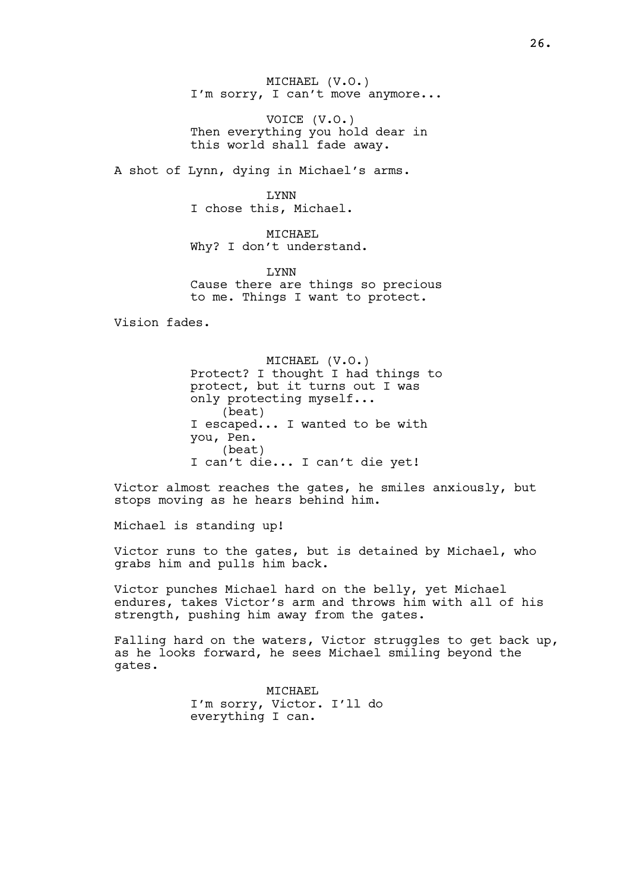MICHAEL (V.O.) I'm sorry, I can't move anymore...

VOICE (V.O.) Then everything you hold dear in this world shall fade away.

A shot of Lynn, dying in Michael's arms.

LYNN I chose this, Michael.

MICHAEL Why? I don't understand.

LYNN Cause there are things so precious to me. Things I want to protect.

Vision fades.

MICHAEL (V.O.) Protect? I thought I had things to protect, but it turns out I was only protecting myself... (beat) I escaped... I wanted to be with you, Pen. (beat) I can't die... I can't die yet!

Victor almost reaches the gates, he smiles anxiously, but stops moving as he hears behind him.

Michael is standing up!

Victor runs to the gates, but is detained by Michael, who grabs him and pulls him back.

Victor punches Michael hard on the belly, yet Michael endures, takes Victor's arm and throws him with all of his strength, pushing him away from the gates.

Falling hard on the waters, Victor struggles to get back up, as he looks forward, he sees Michael smiling beyond the gates.

> MICHAEL I'm sorry, Victor. I'll do everything I can.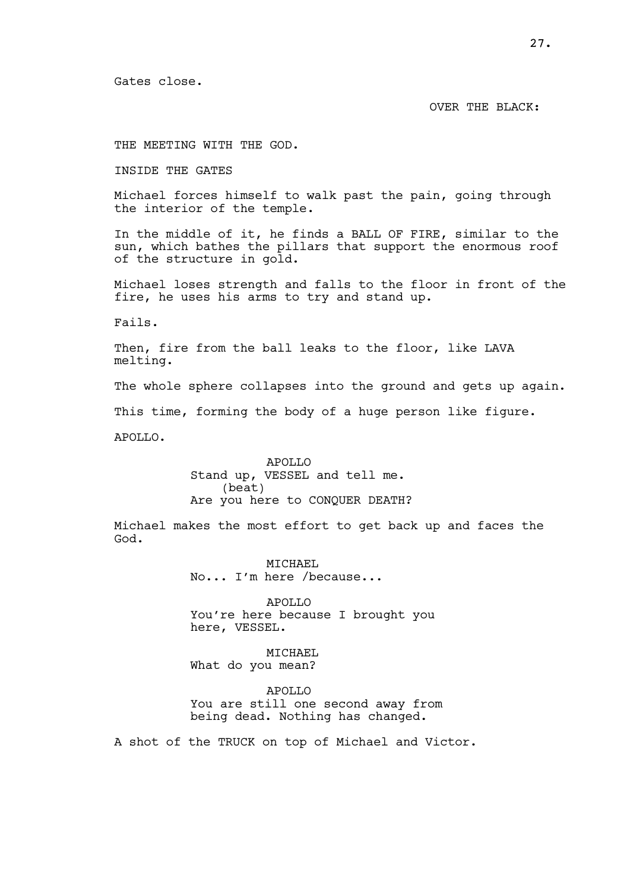Gates close.

#### OVER THE BLACK:

THE MEETING WITH THE GOD.

INSIDE THE GATES

Michael forces himself to walk past the pain, going through the interior of the temple.

In the middle of it, he finds a BALL OF FIRE, similar to the sun, which bathes the pillars that support the enormous roof of the structure in gold.

Michael loses strength and falls to the floor in front of the fire, he uses his arms to try and stand up.

Fails.

Then, fire from the ball leaks to the floor, like LAVA melting.

The whole sphere collapses into the ground and gets up again.

This time, forming the body of a huge person like figure.

APOLLO.

APOLLO Stand up, VESSEL and tell me. (beat) Are you here to CONQUER DEATH?

Michael makes the most effort to get back up and faces the God.

> MICHAEL No... I'm here /because...

APOLLO You're here because I brought you here, VESSEL.

MICHAEL What do you mean?

APOLLO You are still one second away from being dead. Nothing has changed.

A shot of the TRUCK on top of Michael and Victor.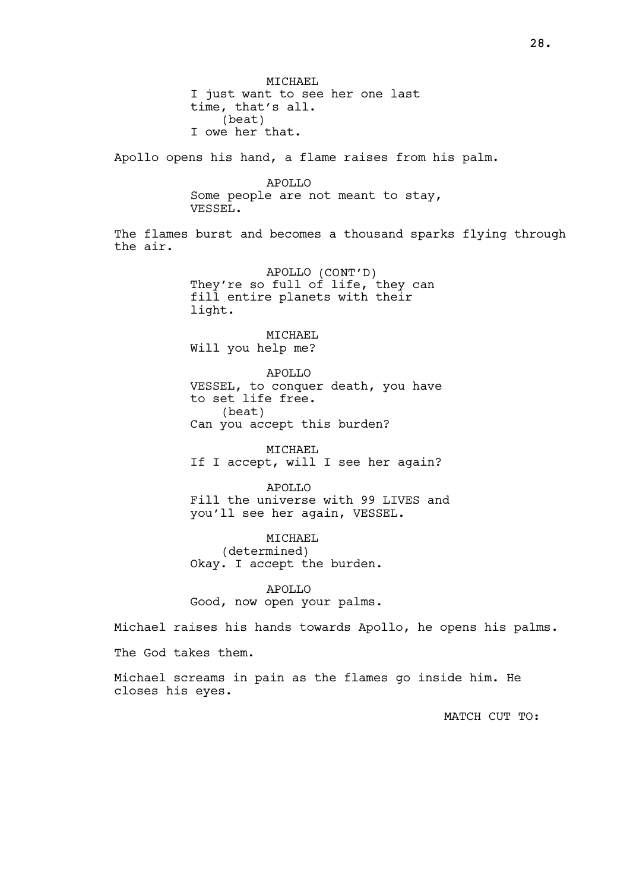MTCHAEL I just want to see her one last time, that's all. (beat) I owe her that. Apollo opens his hand, a flame raises from his palm. APOLLO Some people are not meant to stay, VESSEL. The flames burst and becomes a thousand sparks flying through the air. APOLLO (CONT'D) They're so full of life, they can fill entire planets with their light. MICHAEL Will you help me? APOLLO VESSEL, to conquer death, you have to set life free. (beat) Can you accept this burden? MTCHAEL If I accept, will I see her again? APOLLO Fill the universe with 99 LIVES and you'll see her again, VESSEL. MICHAEL (determined) Okay. I accept the burden. APOLLO Good, now open your palms. Michael raises his hands towards Apollo, he opens his palms. The God takes them. Michael screams in pain as the flames go inside him. He closes his eyes. MATCH CUT TO: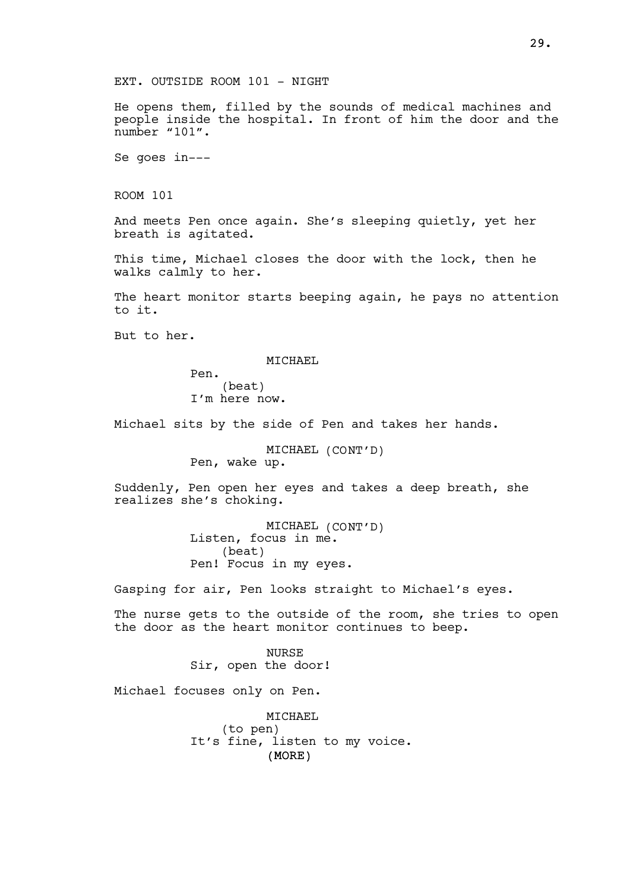He opens them, filled by the sounds of medical machines and people inside the hospital. In front of him the door and the number "101".

Se goes in---

ROOM 101

And meets Pen once again. She's sleeping quietly, yet her breath is agitated.

This time, Michael closes the door with the lock, then he walks calmly to her.

The heart monitor starts beeping again, he pays no attention to it.

But to her.

MICHAEL

Pen. (beat) I'm here now.

Michael sits by the side of Pen and takes her hands.

MICHAEL (CONT'D) Pen, wake up.

Suddenly, Pen open her eyes and takes a deep breath, she realizes she's choking.

> MICHAEL (CONT'D) Listen, focus in me. (beat) Pen! Focus in my eyes.

Gasping for air, Pen looks straight to Michael's eyes.

The nurse gets to the outside of the room, she tries to open the door as the heart monitor continues to beep.

> NURSE Sir, open the door!

Michael focuses only on Pen.

(MORE) MTCHAEL (to pen) It's fine, listen to my voice.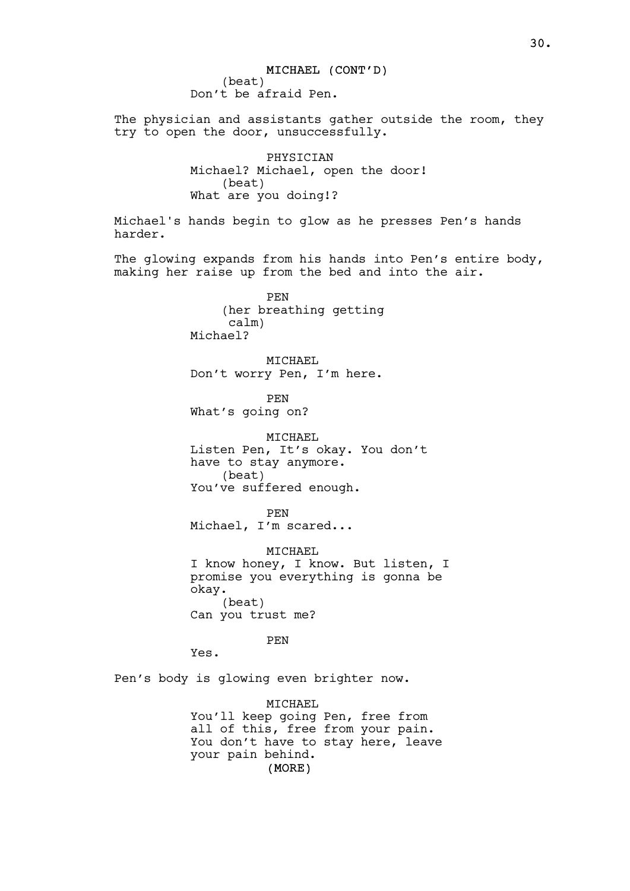MICHAEL (CONT'D) (beat) Don't be afraid Pen. The physician and assistants gather outside the room, they try to open the door, unsuccessfully. PHYSICIAN Michael? Michael, open the door! (beat) What are you doing!? Michael's hands begin to glow as he presses Pen's hands harder. The glowing expands from his hands into Pen's entire body, making her raise up from the bed and into the air. PEN (her breathing getting calm) Michael? MICHAEL Don't worry Pen, I'm here. PEN What's going on? MICHAEL Listen Pen, It's okay. You don't have to stay anymore. (beat) You've suffered enough. PEN Michael, I'm scared... MICHAEL I know honey, I know. But listen, I promise you everything is gonna be okay. (beat) Can you trust me? PEN Yes. Pen's body is glowing even brighter now. MICHAEL You'll keep going Pen, free from all of this, free from your pain. You don't have to stay here, leave

your pain behind.

(MORE)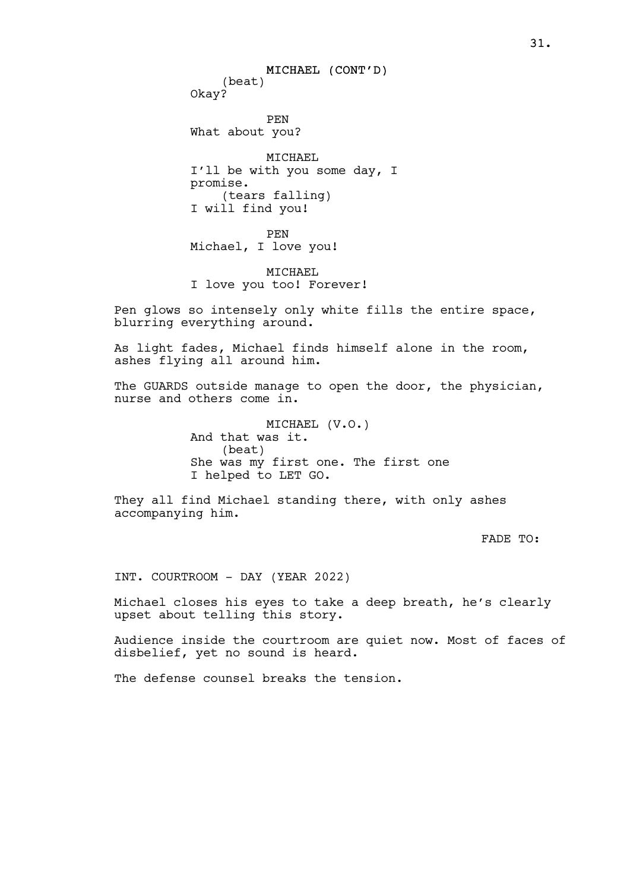MICHAEL (CONT'D) (beat) Okay? PEN What about you? MICHAEL I'll be with you some day, I promise. (tears falling) I will find you! PEN Michael, I love you!

MICHAEL I love you too! Forever!

Pen glows so intensely only white fills the entire space, blurring everything around.

As light fades, Michael finds himself alone in the room, ashes flying all around him.

The GUARDS outside manage to open the door, the physician, nurse and others come in.

> MICHAEL (V.O.) And that was it. (beat) She was my first one. The first one I helped to LET GO.

They all find Michael standing there, with only ashes accompanying him.

FADE TO:

INT. COURTROOM - DAY (YEAR 2022)

Michael closes his eyes to take a deep breath, he's clearly upset about telling this story.

Audience inside the courtroom are quiet now. Most of faces of disbelief, yet no sound is heard.

The defense counsel breaks the tension.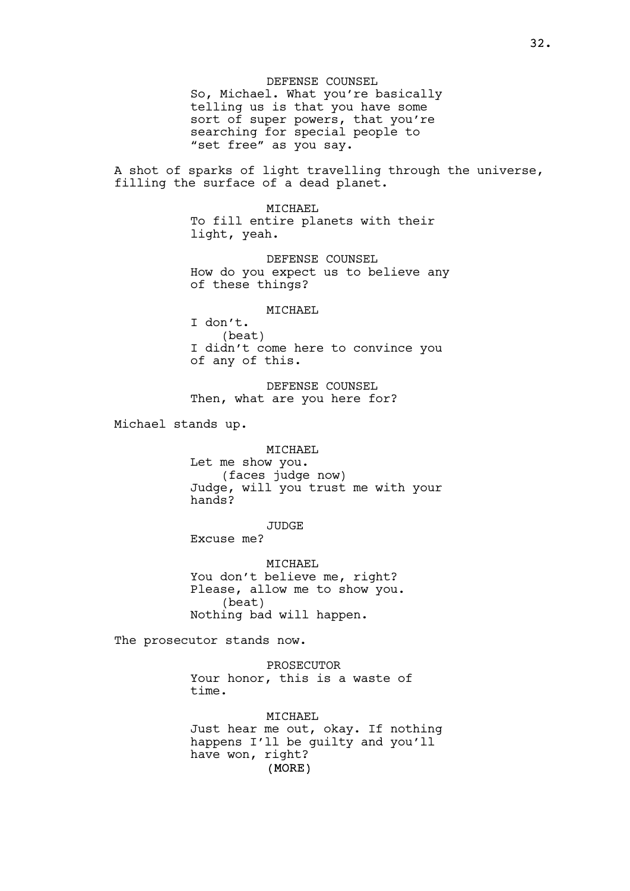DEFENSE COUNSEL So, Michael. What you're basically telling us is that you have some sort of super powers, that you're searching for special people to "set free" as you say.

A shot of sparks of light travelling through the universe, filling the surface of a dead planet.

> MICHAEL To fill entire planets with their light, yeah.

DEFENSE COUNSEL How do you expect us to believe any of these things?

MICHAEL

I don't. (beat) I didn't come here to convince you of any of this.

DEFENSE COUNSEL Then, what are you here for?

Michael stands up.

MICHAEL

Let me show you. (faces judge now) Judge, will you trust me with your hands?

JUDGE

Excuse me?

MICHAEL You don't believe me, right? Please, allow me to show you. (beat) Nothing bad will happen.

The prosecutor stands now.

PROSECUTOR Your honor, this is a waste of time.

(MORE) MICHAEL Just hear me out, okay. If nothing happens I'll be guilty and you'll have won, right?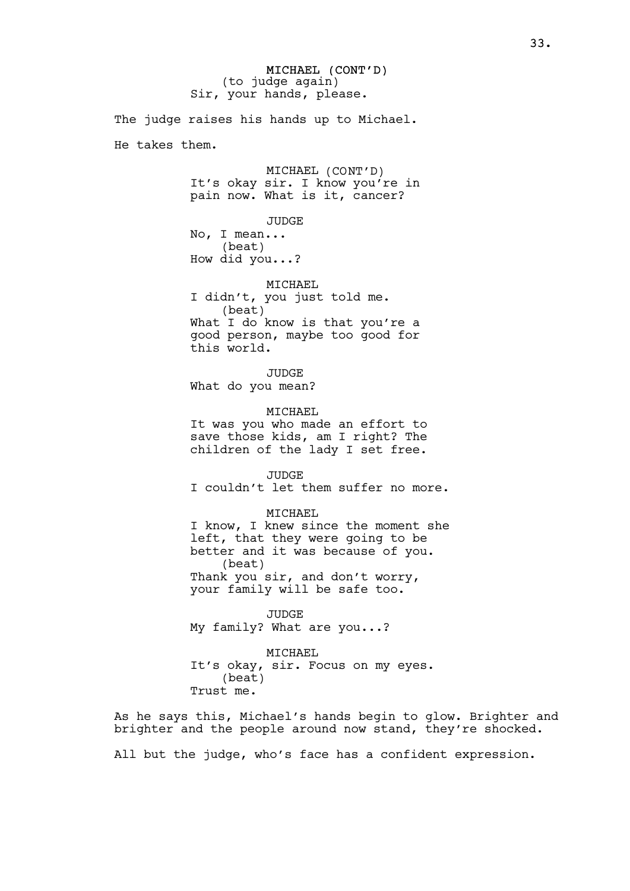MICHAEL (CONT'D) (to judge again) Sir, your hands, please.

The judge raises his hands up to Michael. He takes them. MICHAEL (CONT'D) It's okay sir. I know you're in pain now. What is it, cancer? JUDGE No, I mean... (beat) How did you...? MICHAEL I didn't, you just told me. (beat) What I do know is that you're a good person, maybe too good for this world. JUDGE What do you mean? MICHAEL It was you who made an effort to save those kids, am I right? The children of the lady I set free. JUDGE I couldn't let them suffer no more. MICHAEL I know, I knew since the moment she left, that they were going to be better and it was because of you. (beat) Thank you sir, and don't worry, your family will be safe too. JUDGE My family? What are you...? MICHAEL

It's okay, sir. Focus on my eyes. (beat) Trust me.

As he says this, Michael's hands begin to glow. Brighter and brighter and the people around now stand, they're shocked.

All but the judge, who's face has a confident expression.